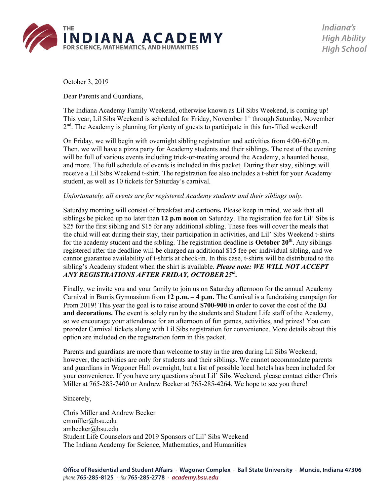

Indiana's **High Ability High School** 

October 3, 2019

Dear Parents and Guardians,

The Indiana Academy Family Weekend, otherwise known as Lil Sibs Weekend, is coming up! This year, Lil Sibs Weekend is scheduled for Friday, November 1<sup>st</sup> through Saturday, November  $2<sup>nd</sup>$ . The Academy is planning for plenty of guests to participate in this fun-filled weekend!

On Friday, we will begin with overnight sibling registration and activities from 4:00–6:00 p.m. Then, we will have a pizza party for Academy students and their siblings. The rest of the evening will be full of various events including trick-or-treating around the Academy, a haunted house, and more. The full schedule of events is included in this packet. During their stay, siblings will receive a Lil Sibs Weekend t-shirt. The registration fee also includes a t-shirt for your Academy student, as well as 10 tickets for Saturday's carnival.

### *Unfortunately, all events are for registered Academy students and their siblings only.*

Saturday morning will consist of breakfast and cartoons**.** Please keep in mind, we ask that all siblings be picked up no later than **12 p.m noon** on Saturday. The registration fee for Lil' Sibs is \$25 for the first sibling and \$15 for any additional sibling. These fees will cover the meals that the child will eat during their stay, their participation in activities, and Lil' Sibs Weekend t-shirts for the academy student and the sibling. The registration deadline is **October 20th**. Any siblings registered after the deadline will be charged an additional \$15 fee per individual sibling, and we cannot guarantee availability of t-shirts at check-in. In this case, t-shirts will be distributed to the sibling's Academy student when the shirt is available. *Please note: WE WILL NOT ACCEPT ANY REGISTRATIONS AFTER FRIDAY, OCTOBER25th.*

Finally, we invite you and your family to join us on Saturday afternoon for the annual Academy Carnival in Burris Gymnasium from **12 p.m. – 4 p.m.** The Carnival is a fundraising campaign for Prom 2019! This year the goal is to raise around **\$700-900** in order to cover the cost of the **DJ and decorations.** The event is solely run by the students and Student Life staff of the Academy, so we encourage your attendance for an afternoon of fun games, activities, and prizes! You can preorder Carnival tickets along with Lil Sibs registration for convenience. More details about this option are included on the registration form in this packet.

Parents and guardians are more than welcome to stay in the area during Lil Sibs Weekend; however, the activities are only for students and their siblings. We cannot accommodate parents and guardians in Wagoner Hall overnight, but a list of possible local hotels has been included for your convenience. If you have any questions about Lil' Sibs Weekend, please contact either Chris Miller at 765-285-7400 or Andrew Becker at 765-285-4264. We hope to see you there!

#### Sincerely,

Chris Miller and Andrew Becker cmmiller@bsu.edu ambecker@bsu.edu Student Life Counselors and 2019 Sponsors of Lil' Sibs Weekend The Indiana Academy for Science, Mathematics, and Humanities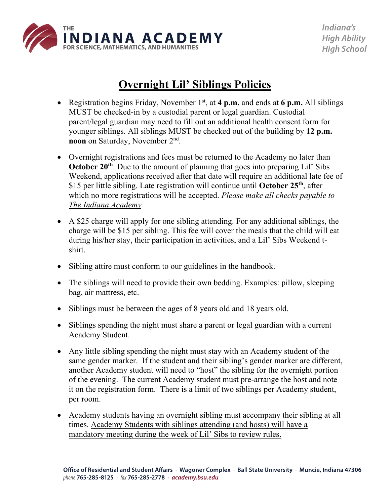

## **Overnight Lil' Siblings Policies**

- Registration begins Friday, November 1<sup>st</sup>, at 4 p.m. and ends at 6 p.m. All siblings MUST be checked-in by a custodial parent or legal guardian. Custodial parent/legal guardian may need to fill out an additional health consent form for younger siblings. All siblings MUST be checked out of the building by **12 p.m. noon** on Saturday, November 2nd.
- Overnight registrations and fees must be returned to the Academy no later than **October** 20<sup>th</sup>. Due to the amount of planning that goes into preparing Lil' Sibs Weekend, applications received after that date will require an additional late fee of \$15 per little sibling. Late registration will continue until **October 25th**, after which no more registrations will be accepted. *Please make all checks payable to The Indiana Academy.*
- A \$25 charge will apply for one sibling attending. For any additional siblings, the charge will be \$15 per sibling. This fee will cover the meals that the child will eat during his/her stay, their participation in activities, and a Lil' Sibs Weekend tshirt.
- Sibling attire must conform to our guidelines in the handbook.
- The siblings will need to provide their own bedding. Examples: pillow, sleeping bag, air mattress, etc.
- Siblings must be between the ages of 8 years old and 18 years old.
- Siblings spending the night must share a parent or legal guardian with a current Academy Student.
- Any little sibling spending the night must stay with an Academy student of the same gender marker. If the student and their sibling's gender marker are different, another Academy student will need to "host" the sibling for the overnight portion of the evening. The current Academy student must pre-arrange the host and note it on the registration form. There is a limit of two siblings per Academy student, per room.
- Academy students having an overnight sibling must accompany their sibling at all times. Academy Students with siblings attending (and hosts) will have a mandatory meeting during the week of Lil' Sibs to review rules.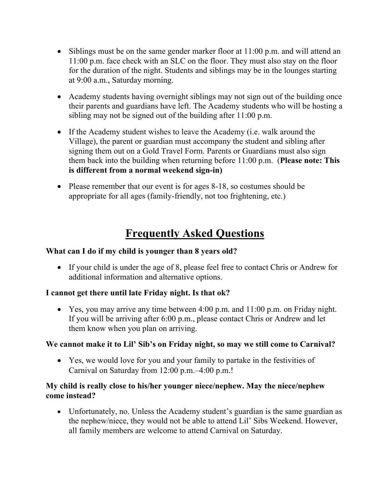- Siblings must be on the same gender marker floor at 11:00 p.m. and will attend an 11:00 p.m. face check with an SLC on the floor. They must also stay on the floor for the duration of the night. Students and siblings may be in the lounges starting at 9:00 a.m., Saturday morning.
- Academy students having overnight siblings may not sign out of the building once their parents and guardians have left. The Academy students who will be hosting a sibling may not be signed out of the building after 11:00 p.m.
- If the Academy student wishes to leave the Academy (i.e. walk around the Village), the parent or guardian must accompany the student and sibling after signing them out on a Gold Travel Form. Parents or Guardians must also sign them back into the building when returning before 11:00 p.m. (**Please note: This is different from a normal weekend sign-in)**
- Please remember that our event is for ages 8-18, so costumes should be appropriate for all ages (family-friendly, not too frightening, etc.)

### **Frequently Asked Questions**

### **What can I do if my child is younger than 8 years old?**

• If your child is under the age of 8, please feel free to contact Chris or Andrew for additional information and alternative options.

### **I cannot get there until late Friday night. Is that ok?**

• Yes, you may arrive any time between 4:00 p.m. and 11:00 p.m. on Friday night. If you will be arriving after 6:00 p.m., please contact Chris or Andrew and let them know when you plan on arriving.

### **We cannot make it to Lil' Sib's on Friday night, so may we still come to Carnival?**

• Yes, we would love for you and your family to partake in the festivities of Carnival on Saturday from 12:00 p.m.–4:00 p.m.!

### **My child is really close to his/her younger niece/nephew. May the niece/nephew come instead?**

• Unfortunately, no. Unless the Academy student's guardian is the same guardian as the nephew/niece, they would not be able to attend Lil' Sibs Weekend. However, all family members are welcome to attend Carnival on Saturday.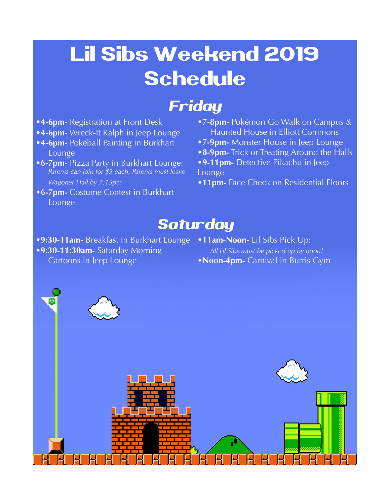# Lil Sibs Weekend 2019 Schedule

# Friday

- **•4-6pm-** Registration at Front Desk
- **•4-6pm-** Wreck-It Ralph in Jeep Lounge
- **•4-6pm-** Pokéball Painting in Burkhart Lounge
- **•6-7pm-** Pizza Party in Burkhart Lounge: *Parents can join for \$3 each, Parents must leave Wagoner Hall by 7:15pm*
- **•6-7pm-** Costume Contest in Burkhart Lounge
- **•7-8pm-** Pokémon Go Walk on Campus & Haunted House in Elliott Commons
- **•7-9pm-** Monster House in Jeep Lounge
- **•8-9pm-** Trick or Treating Around the Halls
- **•9-11pm-** Detective Pikachu in Jeep Lounge
- **•11pm-** Face Check on Residential Floors

## **Saturday**

- **•9:30-11am-** Breakfast in Burkhart Lounge **•11am-Noon-** Lil Sibs Pick Up:
- **•9:30-11:30am-** Saturday Morning Cartoons in Jeep Lounge
- *All Lil Sibs must be picked up by noon!*
- **•Noon-4pm-** Carnival in Burris Gym

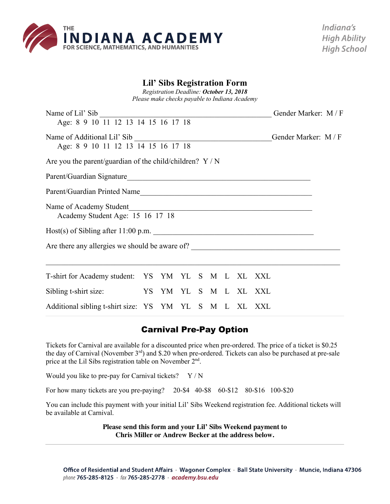

### **Lil' Sibs Registration Form**

*Registration Deadline: October 13, 2018 Please make checks payable to Indiana Academy*

| Name of Lil' Sib<br>Age: 8 9 10 11 12 13 14 15 16 17 18                           |  |  |  |  |  |  |  |                                                                                                                        | Gender Marker: M/F |  |
|-----------------------------------------------------------------------------------|--|--|--|--|--|--|--|------------------------------------------------------------------------------------------------------------------------|--------------------|--|
| Age: 8 9 10 11 12 13 14 15 16 17 18                                               |  |  |  |  |  |  |  | Gender Marker: M/F                                                                                                     |                    |  |
| Are you the parent/guardian of the child/children? $Y/N$                          |  |  |  |  |  |  |  |                                                                                                                        |                    |  |
|                                                                                   |  |  |  |  |  |  |  |                                                                                                                        |                    |  |
|                                                                                   |  |  |  |  |  |  |  |                                                                                                                        |                    |  |
| Name of Academy Student<br>Academy Student Age: 15 16 17 18                       |  |  |  |  |  |  |  | <u> 1989 - Johann Stoff, deutscher Stoffen und der Stoffen und der Stoffen und der Stoffen und der Stoffen und der</u> |                    |  |
| Host(s) of Sibling after 11:00 p.m.                                               |  |  |  |  |  |  |  |                                                                                                                        |                    |  |
| Are there any allergies we should be aware of? __________________________________ |  |  |  |  |  |  |  |                                                                                                                        |                    |  |
| T-shirt for Academy student: YS YM YL S M L XL XXL                                |  |  |  |  |  |  |  |                                                                                                                        |                    |  |
| Sibling t-shirt size:                                                             |  |  |  |  |  |  |  | YS YM YL S M L XL XXL                                                                                                  |                    |  |
| Additional sibling t-shirt size: YS YM YL S M L XL XXL                            |  |  |  |  |  |  |  |                                                                                                                        |                    |  |

### Carnival Pre-Pay Option

Tickets for Carnival are available for a discounted price when pre-ordered. The price of a ticket is \$0.25 the day of Carnival (November 3rd) and \$.20 when pre-ordered. Tickets can also be purchased at pre-sale price at the Lil Sibs registration table on November 2nd.

Would you like to pre-pay for Carnival tickets?  $Y / N$ 

For how many tickets are you pre-paying? 20-\$4 40-\$8 60-\$12 80-\$16 100-\$20

You can include this payment with your initial Lil' Sibs Weekend registration fee. Additional tickets will be available at Carnival.

> **Please send this form and your Lil' Sibs Weekend payment to Chris Miller or Andrew Becker at the address below.**